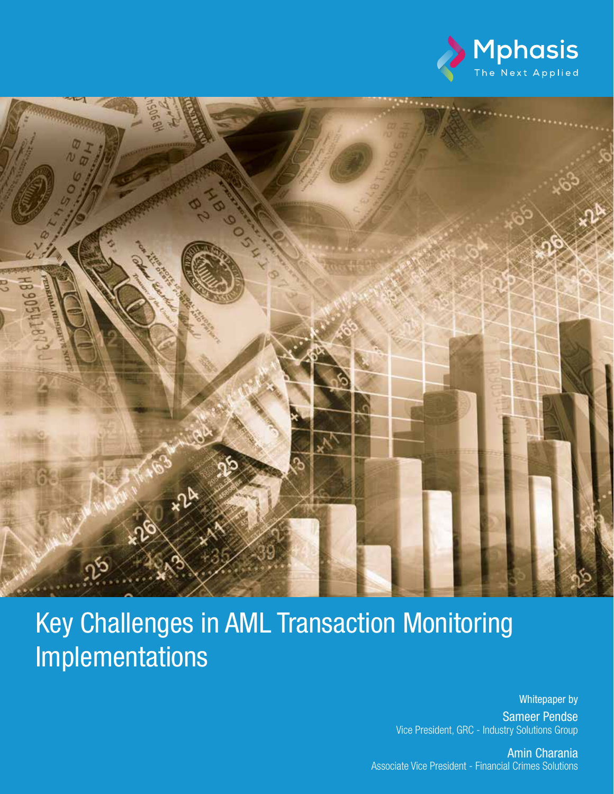



# Key Challenges in AML Transaction Monitoring Implementations

Whitepaper by Sameer Pendse Vice President, GRC - Industry Solutions Group

Key Challenges in AML Transaction Monitoring Implementations Mphasis 1 Associate Vice President - Financial Crimes SolutionsAmin Charania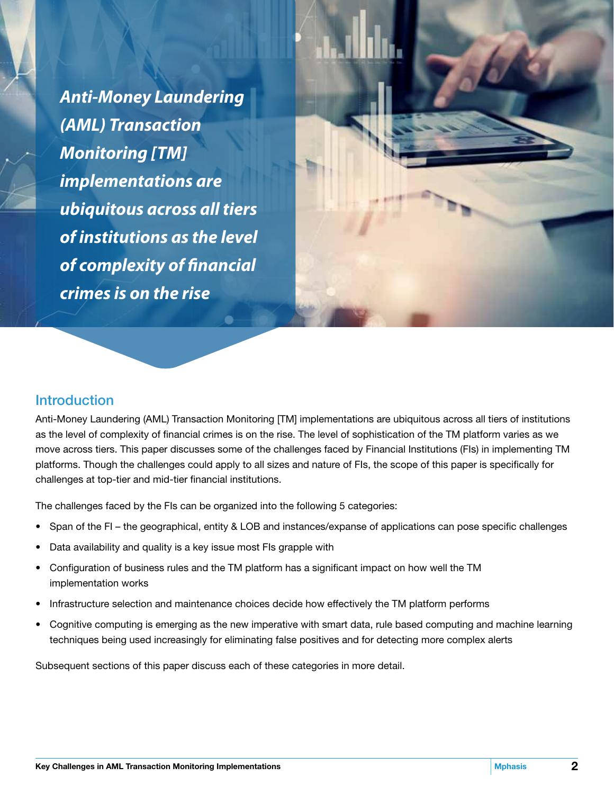*Anti-Money Laundering (AML) Transaction Monitoring [TM] implementations are ubiquitous across all tiers of institutions as the level of complexity of financial crimes is on the rise*

#### **Introduction**

Anti-Money Laundering (AML) Transaction Monitoring [TM] implementations are ubiquitous across all tiers of institutions as the level of complexity of financial crimes is on the rise. The level of sophistication of the TM platform varies as we move across tiers. This paper discusses some of the challenges faced by Financial Institutions (FIs) in implementing TM platforms. Though the challenges could apply to all sizes and nature of FIs, the scope of this paper is specifically for challenges at top-tier and mid-tier financial institutions.

The challenges faced by the FIs can be organized into the following 5 categories:

- Span of the FI the geographical, entity & LOB and instances/expanse of applications can pose specific challenges
- Data availability and quality is a key issue most FIs grapple with
- Configuration of business rules and the TM platform has a significant impact on how well the TM implementation works
- Infrastructure selection and maintenance choices decide how effectively the TM platform performs
- Cognitive computing is emerging as the new imperative with smart data, rule based computing and machine learning techniques being used increasingly for eliminating false positives and for detecting more complex alerts

Subsequent sections of this paper discuss each of these categories in more detail.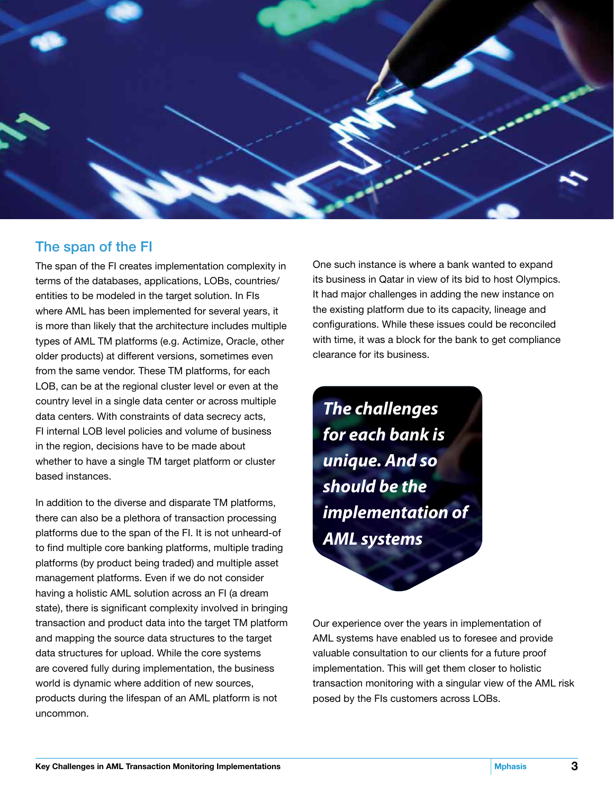

### The span of the FI

The span of the FI creates implementation complexity in terms of the databases, applications, LOBs, countries/ entities to be modeled in the target solution. In FIs where AML has been implemented for several years, it is more than likely that the architecture includes multiple types of AML TM platforms (e.g. Actimize, Oracle, other older products) at different versions, sometimes even from the same vendor. These TM platforms, for each LOB, can be at the regional cluster level or even at the country level in a single data center or across multiple data centers. With constraints of data secrecy acts, FI internal LOB level policies and volume of business in the region, decisions have to be made about whether to have a single TM target platform or cluster based instances.

In addition to the diverse and disparate TM platforms, there can also be a plethora of transaction processing platforms due to the span of the FI. It is not unheard-of to find multiple core banking platforms, multiple trading platforms (by product being traded) and multiple asset management platforms. Even if we do not consider having a holistic AML solution across an FI (a dream state), there is significant complexity involved in bringing transaction and product data into the target TM platform and mapping the source data structures to the target data structures for upload. While the core systems are covered fully during implementation, the business world is dynamic where addition of new sources, products during the lifespan of an AML platform is not uncommon.

One such instance is where a bank wanted to expand its business in Qatar in view of its bid to host Olympics. It had major challenges in adding the new instance on the existing platform due to its capacity, lineage and configurations. While these issues could be reconciled with time, it was a block for the bank to get compliance clearance for its business.

*The challenges for each bank is unique. And so should be the implementation of AML systems*

Our experience over the years in implementation of AML systems have enabled us to foresee and provide valuable consultation to our clients for a future proof implementation. This will get them closer to holistic transaction monitoring with a singular view of the AML risk posed by the FIs customers across LOBs.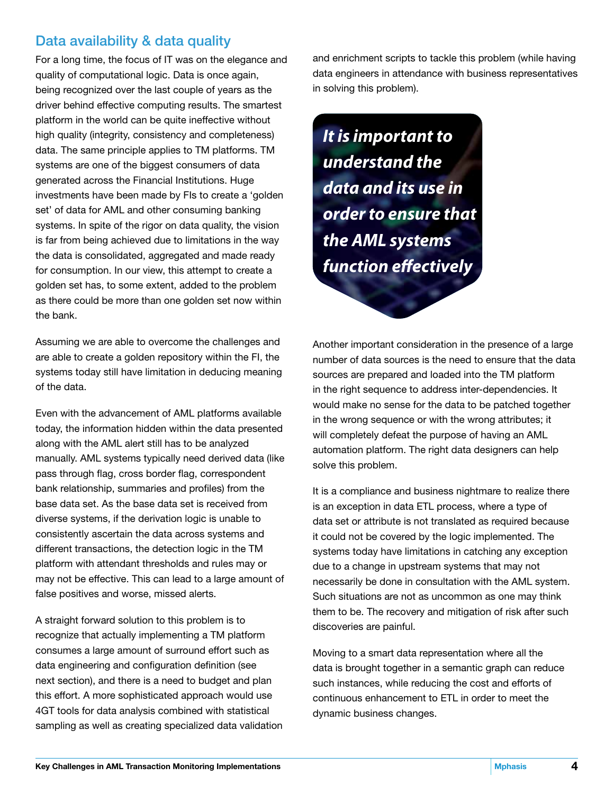## Data availability & data quality

For a long time, the focus of IT was on the elegance and quality of computational logic. Data is once again, being recognized over the last couple of years as the driver behind effective computing results. The smartest platform in the world can be quite ineffective without high quality (integrity, consistency and completeness) data. The same principle applies to TM platforms. TM systems are one of the biggest consumers of data generated across the Financial Institutions. Huge investments have been made by FIs to create a 'golden set' of data for AML and other consuming banking systems. In spite of the rigor on data quality, the vision is far from being achieved due to limitations in the way the data is consolidated, aggregated and made ready for consumption. In our view, this attempt to create a golden set has, to some extent, added to the problem as there could be more than one golden set now within the bank.

Assuming we are able to overcome the challenges and are able to create a golden repository within the FI, the systems today still have limitation in deducing meaning of the data.

Even with the advancement of AML platforms available today, the information hidden within the data presented along with the AML alert still has to be analyzed manually. AML systems typically need derived data (like pass through flag, cross border flag, correspondent bank relationship, summaries and profiles) from the base data set. As the base data set is received from diverse systems, if the derivation logic is unable to consistently ascertain the data across systems and different transactions, the detection logic in the TM platform with attendant thresholds and rules may or may not be effective. This can lead to a large amount of false positives and worse, missed alerts.

A straight forward solution to this problem is to recognize that actually implementing a TM platform consumes a large amount of surround effort such as data engineering and configuration definition (see next section), and there is a need to budget and plan this effort. A more sophisticated approach would use 4GT tools for data analysis combined with statistical sampling as well as creating specialized data validation and enrichment scripts to tackle this problem (while having data engineers in attendance with business representatives in solving this problem).

*It is important to understand the data and its use in order to ensure that the AML systems function effectively*

Another important consideration in the presence of a large number of data sources is the need to ensure that the data sources are prepared and loaded into the TM platform in the right sequence to address inter-dependencies. It would make no sense for the data to be patched together in the wrong sequence or with the wrong attributes; it will completely defeat the purpose of having an AML automation platform. The right data designers can help solve this problem.

It is a compliance and business nightmare to realize there is an exception in data ETL process, where a type of data set or attribute is not translated as required because it could not be covered by the logic implemented. The systems today have limitations in catching any exception due to a change in upstream systems that may not necessarily be done in consultation with the AML system. Such situations are not as uncommon as one may think them to be. The recovery and mitigation of risk after such discoveries are painful.

Moving to a smart data representation where all the data is brought together in a semantic graph can reduce such instances, while reducing the cost and efforts of continuous enhancement to ETL in order to meet the dynamic business changes.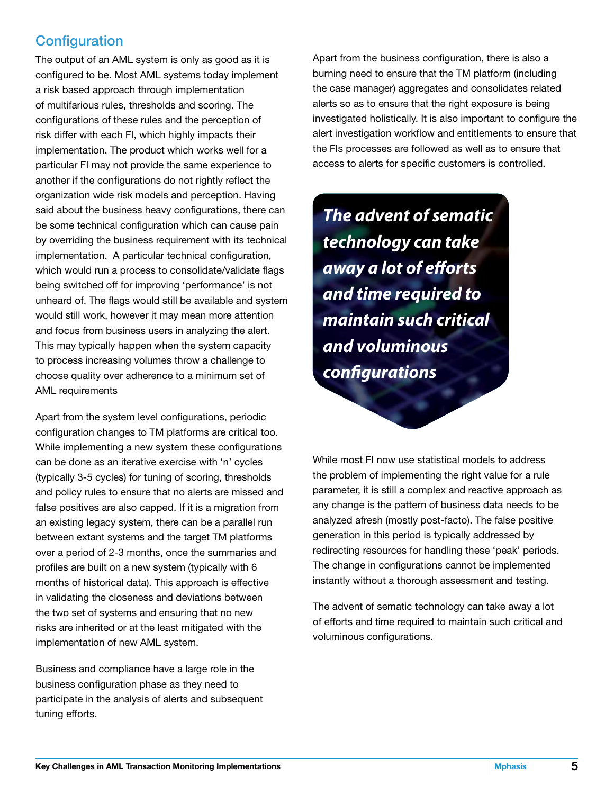# **Configuration**

The output of an AML system is only as good as it is configured to be. Most AML systems today implement a risk based approach through implementation of multifarious rules, thresholds and scoring. The configurations of these rules and the perception of risk differ with each FI, which highly impacts their implementation. The product which works well for a particular FI may not provide the same experience to another if the configurations do not rightly reflect the organization wide risk models and perception. Having said about the business heavy configurations, there can be some technical configuration which can cause pain by overriding the business requirement with its technical implementation. A particular technical configuration, which would run a process to consolidate/validate flags being switched off for improving 'performance' is not unheard of. The flags would still be available and system would still work, however it may mean more attention and focus from business users in analyzing the alert. This may typically happen when the system capacity to process increasing volumes throw a challenge to choose quality over adherence to a minimum set of AML requirements

Apart from the system level configurations, periodic configuration changes to TM platforms are critical too. While implementing a new system these configurations can be done as an iterative exercise with 'n' cycles (typically 3-5 cycles) for tuning of scoring, thresholds and policy rules to ensure that no alerts are missed and false positives are also capped. If it is a migration from an existing legacy system, there can be a parallel run between extant systems and the target TM platforms over a period of 2-3 months, once the summaries and profiles are built on a new system (typically with 6 months of historical data). This approach is effective in validating the closeness and deviations between the two set of systems and ensuring that no new risks are inherited or at the least mitigated with the implementation of new AML system.

Business and compliance have a large role in the business configuration phase as they need to participate in the analysis of alerts and subsequent tuning efforts.

Apart from the business configuration, there is also a burning need to ensure that the TM platform (including the case manager) aggregates and consolidates related alerts so as to ensure that the right exposure is being investigated holistically. It is also important to configure the alert investigation workflow and entitlements to ensure that the FIs processes are followed as well as to ensure that access to alerts for specific customers is controlled.

*The advent of sematic technology can take away a lot of efforts and time required to maintain such critical and voluminous configurations*

While most FI now use statistical models to address the problem of implementing the right value for a rule parameter, it is still a complex and reactive approach as any change is the pattern of business data needs to be analyzed afresh (mostly post-facto). The false positive generation in this period is typically addressed by redirecting resources for handling these 'peak' periods. The change in configurations cannot be implemented instantly without a thorough assessment and testing.

The advent of sematic technology can take away a lot of efforts and time required to maintain such critical and voluminous configurations.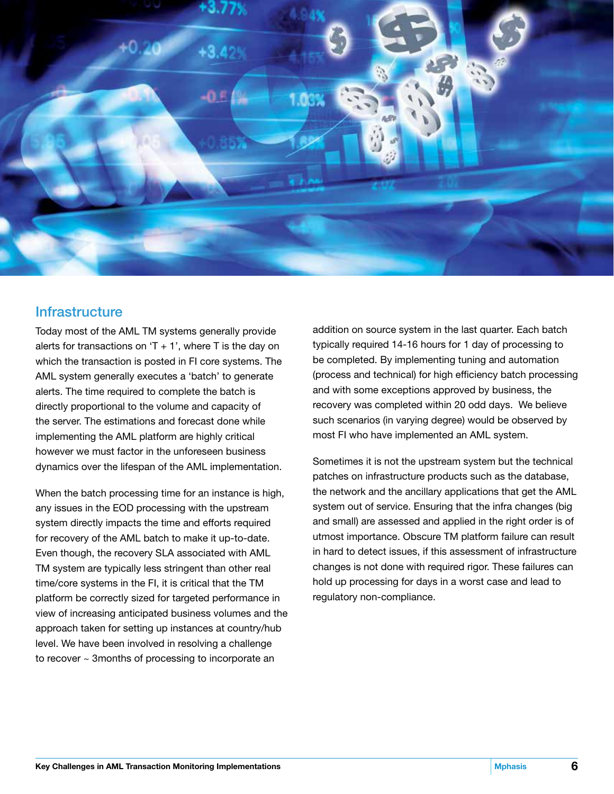

#### **Infrastructure**

Today most of the AML TM systems generally provide alerts for transactions on 'T  $+$  1', where T is the day on which the transaction is posted in FI core systems. The AML system generally executes a 'batch' to generate alerts. The time required to complete the batch is directly proportional to the volume and capacity of the server. The estimations and forecast done while implementing the AML platform are highly critical however we must factor in the unforeseen business dynamics over the lifespan of the AML implementation.

When the batch processing time for an instance is high, any issues in the EOD processing with the upstream system directly impacts the time and efforts required for recovery of the AML batch to make it up-to-date. Even though, the recovery SLA associated with AML TM system are typically less stringent than other real time/core systems in the FI, it is critical that the TM platform be correctly sized for targeted performance in view of increasing anticipated business volumes and the approach taken for setting up instances at country/hub level. We have been involved in resolving a challenge to recover ~ 3months of processing to incorporate an

addition on source system in the last quarter. Each batch typically required 14-16 hours for 1 day of processing to be completed. By implementing tuning and automation (process and technical) for high efficiency batch processing and with some exceptions approved by business, the recovery was completed within 20 odd days. We believe such scenarios (in varying degree) would be observed by most FI who have implemented an AML system.

Sometimes it is not the upstream system but the technical patches on infrastructure products such as the database, the network and the ancillary applications that get the AML system out of service. Ensuring that the infra changes (big and small) are assessed and applied in the right order is of utmost importance. Obscure TM platform failure can result in hard to detect issues, if this assessment of infrastructure changes is not done with required rigor. These failures can hold up processing for days in a worst case and lead to regulatory non-compliance.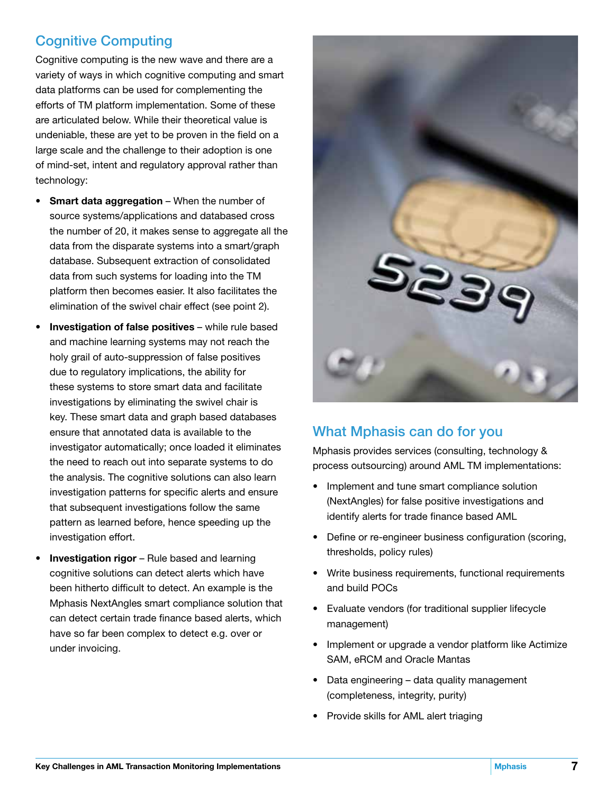# Cognitive Computing

Cognitive computing is the new wave and there are a variety of ways in which cognitive computing and smart data platforms can be used for complementing the efforts of TM platform implementation. Some of these are articulated below. While their theoretical value is undeniable, these are yet to be proven in the field on a large scale and the challenge to their adoption is one of mind-set, intent and regulatory approval rather than technology:

- Smart data aggregation When the number of source systems/applications and databased cross the number of 20, it makes sense to aggregate all the data from the disparate systems into a smart/graph database. Subsequent extraction of consolidated data from such systems for loading into the TM platform then becomes easier. It also facilitates the elimination of the swivel chair effect (see point 2).
- Investigation of false positives while rule based and machine learning systems may not reach the holy grail of auto-suppression of false positives due to regulatory implications, the ability for these systems to store smart data and facilitate investigations by eliminating the swivel chair is key. These smart data and graph based databases ensure that annotated data is available to the investigator automatically; once loaded it eliminates the need to reach out into separate systems to do the analysis. The cognitive solutions can also learn investigation patterns for specific alerts and ensure that subsequent investigations follow the same pattern as learned before, hence speeding up the investigation effort.
- **Investigation rigor** Rule based and learning cognitive solutions can detect alerts which have been hitherto difficult to detect. An example is the Mphasis NextAngles smart compliance solution that can detect certain trade finance based alerts, which have so far been complex to detect e.g. over or under invoicing.



# What Mphasis can do for you

Mphasis provides services (consulting, technology & process outsourcing) around AML TM implementations:

- Implement and tune smart compliance solution (NextAngles) for false positive investigations and identify alerts for trade finance based AML
- Define or re-engineer business configuration (scoring, thresholds, policy rules)
- Write business requirements, functional requirements and build POCs
- Evaluate vendors (for traditional supplier lifecycle management)
- Implement or upgrade a vendor platform like Actimize SAM, eRCM and Oracle Mantas
- Data engineering data quality management (completeness, integrity, purity)
- Provide skills for AML alert triaging